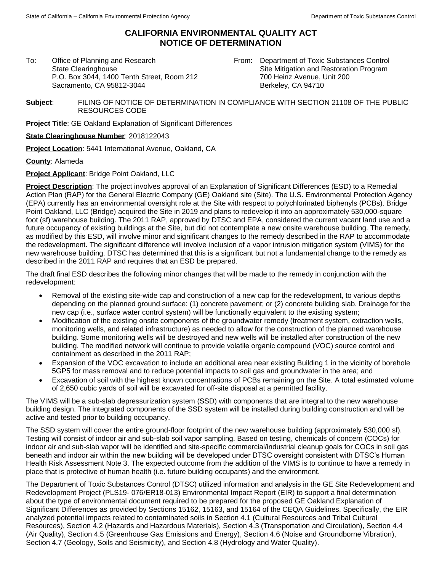## **CALIFORNIA ENVIRONMENTAL QUALITY ACT NOTICE OF DETERMINATION**

To: Office of Planning and Research State Clearinghouse P.O. Box 3044, 1400 Tenth Street, Room 212 Sacramento, CA 95812-3044

From: Department of Toxic Substances Control Site Mitigation and Restoration Program 700 Heinz Avenue, Unit 200 Berkeley, CA 94710

**Subject**: FILING OF NOTICE OF DETERMINATION IN COMPLIANCE WITH SECTION 21108 OF THE PUBLIC RESOURCES CODE

**Project Title**: GE Oakland Explanation of Significant Differences

**State Clearinghouse Number**: 2018122043

**Project Location**: 5441 International Avenue, Oakland, CA

**County**: Alameda

**Project Applicant**: Bridge Point Oakland, LLC

**Project Description**: The project involves approval of an Explanation of Significant Differences (ESD) to a Remedial Action Plan (RAP) for the General Electric Company (GE) Oakland site (Site). The U.S. Environmental Protection Agency (EPA) currently has an environmental oversight role at the Site with respect to polychlorinated biphenyls (PCBs). Bridge Point Oakland, LLC (Bridge) acquired the Site in 2019 and plans to redevelop it into an approximately 530,000-square foot (sf) warehouse building. The 2011 RAP, approved by DTSC and EPA, considered the current vacant land use and a future occupancy of existing buildings at the Site, but did not contemplate a new onsite warehouse building. The remedy, as modified by this ESD, will involve minor and significant changes to the remedy described in the RAP to accommodate the redevelopment. The significant difference will involve inclusion of a vapor intrusion mitigation system (VIMS) for the new warehouse building. DTSC has determined that this is a significant but not a fundamental change to the remedy as described in the 2011 RAP and requires that an ESD be prepared.

The draft final ESD describes the following minor changes that will be made to the remedy in conjunction with the redevelopment:

- Removal of the existing site-wide cap and construction of a new cap for the redevelopment, to various depths depending on the planned ground surface: (1) concrete pavement; or (2) concrete building slab. Drainage for the new cap (i.e., surface water control system) will be functionally equivalent to the existing system;
- Modification of the existing onsite components of the groundwater remedy (treatment system, extraction wells, monitoring wells, and related infrastructure) as needed to allow for the construction of the planned warehouse building. Some monitoring wells will be destroyed and new wells will be installed after construction of the new building. The modified network will continue to provide volatile organic compound (VOC) source control and containment as described in the 2011 RAP;
- Expansion of the VOC excavation to include an additional area near existing Building 1 in the vicinity of borehole 5GP5 for mass removal and to reduce potential impacts to soil gas and groundwater in the area; and
- Excavation of soil with the highest known concentrations of PCBs remaining on the Site. A total estimated volume of 2,650 cubic yards of soil will be excavated for off-site disposal at a permitted facility.

The VIMS will be a sub-slab depressurization system (SSD) with components that are integral to the new warehouse building design. The integrated components of the SSD system will be installed during building construction and will be active and tested prior to building occupancy.

The SSD system will cover the entire ground-floor footprint of the new warehouse building (approximately 530,000 sf). Testing will consist of indoor air and sub-slab soil vapor sampling. Based on testing, chemicals of concern (COCs) for indoor air and sub-slab vapor will be identified and site-specific commercial/industrial cleanup goals for COCs in soil gas beneath and indoor air within the new building will be developed under DTSC oversight consistent with DTSC's Human Health Risk Assessment Note 3. The expected outcome from the addition of the VIMS is to continue to have a remedy in place that is protective of human health (i.e. future building occupants) and the environment.

The Department of Toxic Substances Control (DTSC) utilized information and analysis in the GE Site Redevelopment and Redevelopment Project (PLS19- 076/ER18-013) Environmental Impact Report (EIR) to support a final determination about the type of environmental document required to be prepared for the proposed GE Oakland Explanation of Significant Differences as provided by Sections 15162, 15163, and 15164 of the CEQA Guidelines. Specifically, the EIR analyzed potential impacts related to contaminated soils in Section 4.1 (Cultural Resources and Tribal Cultural Resources), Section 4.2 (Hazards and Hazardous Materials), Section 4.3 (Transportation and Circulation), Section 4.4 (Air Quality), Section 4.5 (Greenhouse Gas Emissions and Energy), Section 4.6 (Noise and Groundborne Vibration), Section 4.7 (Geology, Soils and Seismicity), and Section 4.8 (Hydrology and Water Quality).